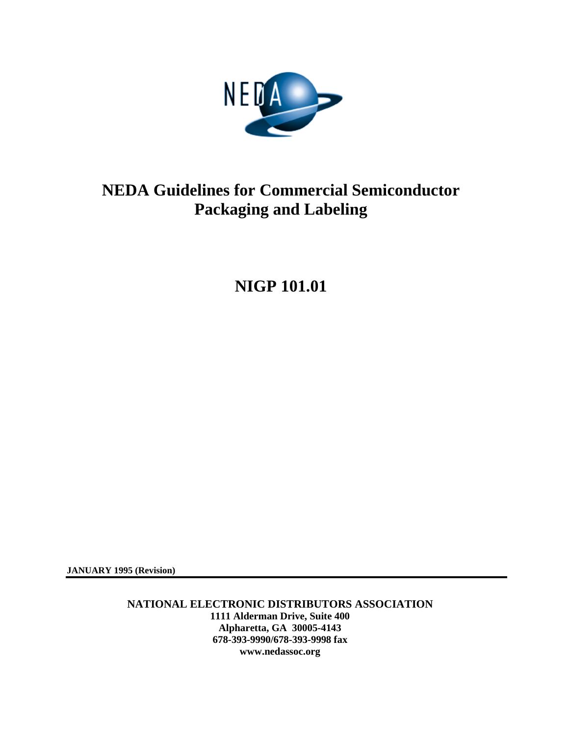

# **NIGP 101.01**

**JANUARY 1995 (Revision)** 

**NATIONAL ELECTRONIC DISTRIBUTORS ASSOCIATION 1111 Alderman Drive, Suite 400 Alpharetta, GA 30005-4143 678-393-9990/678-393-9998 fax www.nedassoc.org**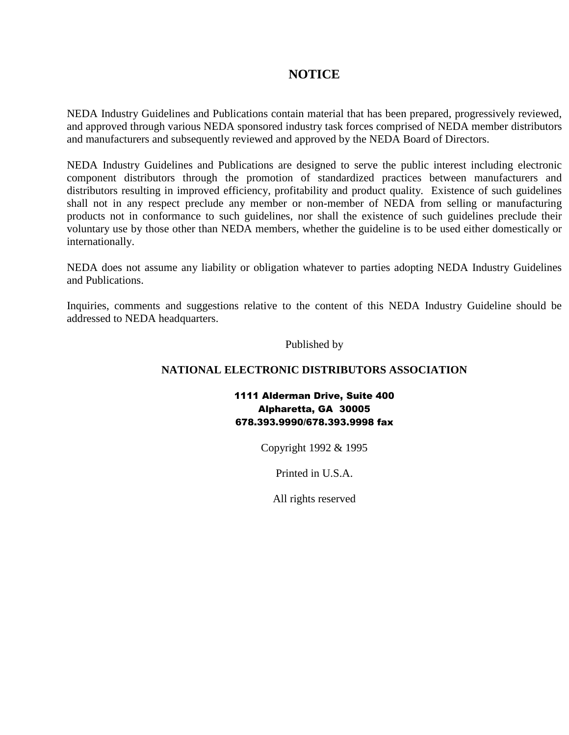### **NOTICE**

NEDA Industry Guidelines and Publications contain material that has been prepared, progressively reviewed, and approved through various NEDA sponsored industry task forces comprised of NEDA member distributors and manufacturers and subsequently reviewed and approved by the NEDA Board of Directors.

NEDA Industry Guidelines and Publications are designed to serve the public interest including electronic component distributors through the promotion of standardized practices between manufacturers and distributors resulting in improved efficiency, profitability and product quality. Existence of such guidelines shall not in any respect preclude any member or non-member of NEDA from selling or manufacturing products not in conformance to such guidelines, nor shall the existence of such guidelines preclude their voluntary use by those other than NEDA members, whether the guideline is to be used either domestically or internationally.

NEDA does not assume any liability or obligation whatever to parties adopting NEDA Industry Guidelines and Publications.

Inquiries, comments and suggestions relative to the content of this NEDA Industry Guideline should be addressed to NEDA headquarters.

#### Published by

#### **NATIONAL ELECTRONIC DISTRIBUTORS ASSOCIATION**

1111 Alderman Drive, Suite 400 Alpharetta, GA 30005 678.393.9990/678.393.9998 fax

Copyright 1992 & 1995

Printed in U.S.A.

All rights reserved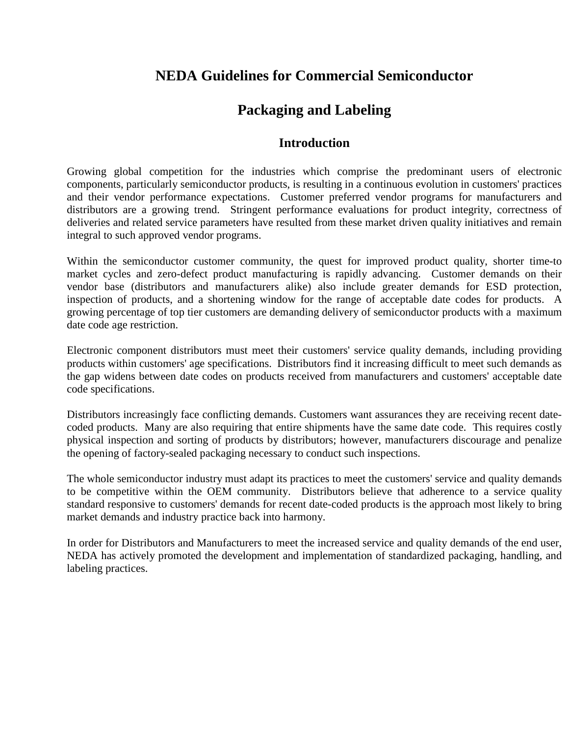# **NEDA Guidelines for Commercial Semiconductor**

# **Packaging and Labeling**

### **Introduction**

Growing global competition for the industries which comprise the predominant users of electronic components, particularly semiconductor products, is resulting in a continuous evolution in customers' practices and their vendor performance expectations. Customer preferred vendor programs for manufacturers and distributors are a growing trend. Stringent performance evaluations for product integrity, correctness of deliveries and related service parameters have resulted from these market driven quality initiatives and remain integral to such approved vendor programs.

Within the semiconductor customer community, the quest for improved product quality, shorter time-to market cycles and zero-defect product manufacturing is rapidly advancing. Customer demands on their vendor base (distributors and manufacturers alike) also include greater demands for ESD protection, inspection of products, and a shortening window for the range of acceptable date codes for products. A growing percentage of top tier customers are demanding delivery of semiconductor products with a maximum date code age restriction.

Electronic component distributors must meet their customers' service quality demands, including providing products within customers' age specifications. Distributors find it increasing difficult to meet such demands as the gap widens between date codes on products received from manufacturers and customers' acceptable date code specifications.

Distributors increasingly face conflicting demands. Customers want assurances they are receiving recent datecoded products. Many are also requiring that entire shipments have the same date code. This requires costly physical inspection and sorting of products by distributors; however, manufacturers discourage and penalize the opening of factory-sealed packaging necessary to conduct such inspections.

The whole semiconductor industry must adapt its practices to meet the customers' service and quality demands to be competitive within the OEM community. Distributors believe that adherence to a service quality standard responsive to customers' demands for recent date-coded products is the approach most likely to bring market demands and industry practice back into harmony.

In order for Distributors and Manufacturers to meet the increased service and quality demands of the end user, NEDA has actively promoted the development and implementation of standardized packaging, handling, and labeling practices.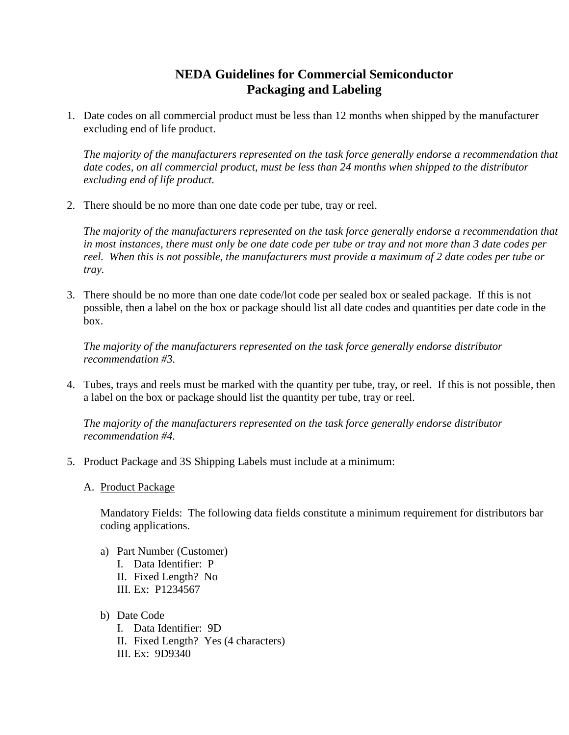1. Date codes on all commercial product must be less than 12 months when shipped by the manufacturer excluding end of life product.

*The majority of the manufacturers represented on the task force generally endorse a recommendation that date codes, on all commercial product, must be less than 24 months when shipped to the distributor excluding end of life product.* 

2. There should be no more than one date code per tube, tray or reel.

*The majority of the manufacturers represented on the task force generally endorse a recommendation that in most instances, there must only be one date code per tube or tray and not more than 3 date codes per reel. When this is not possible, the manufacturers must provide a maximum of 2 date codes per tube or tray.* 

3. There should be no more than one date code/lot code per sealed box or sealed package. If this is not possible, then a label on the box or package should list all date codes and quantities per date code in the box.

*The majority of the manufacturers represented on the task force generally endorse distributor recommendation #3.* 

4. Tubes, trays and reels must be marked with the quantity per tube, tray, or reel. If this is not possible, then a label on the box or package should list the quantity per tube, tray or reel.

*The majority of the manufacturers represented on the task force generally endorse distributor recommendation #4.* 

- 5. Product Package and 3S Shipping Labels must include at a minimum:
	- A. Product Package

Mandatory Fields: The following data fields constitute a minimum requirement for distributors bar coding applications.

- a) Part Number (Customer) I. Data Identifier: P II. Fixed Length? No III. Ex: P1234567
- b) Date Code
	- I. Data Identifier: 9D II. Fixed Length? Yes (4 characters) III. Ex: 9D9340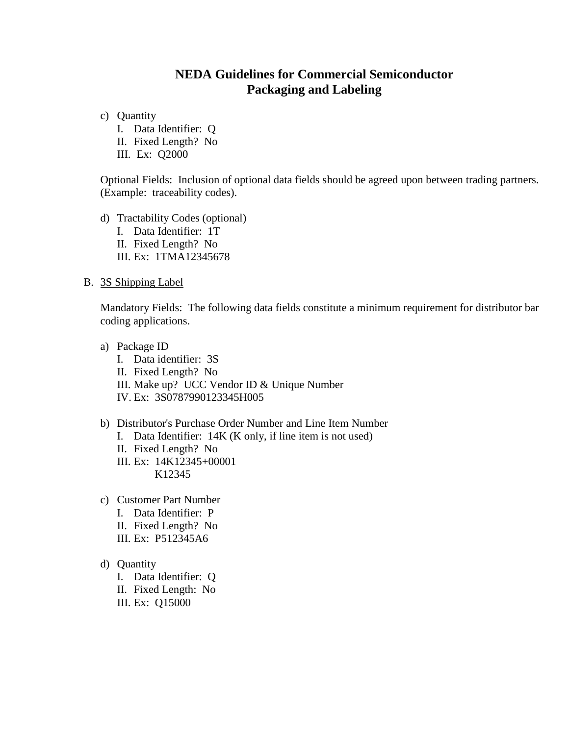c) Quantity

I. Data Identifier: Q

II. Fixed Length? No

III. Ex: Q2000

Optional Fields: Inclusion of optional data fields should be agreed upon between trading partners. (Example: traceability codes).

d) Tractability Codes (optional) I. Data Identifier: 1T II. Fixed Length? No III. Ex: 1TMA12345678

#### B. 3S Shipping Label

Mandatory Fields: The following data fields constitute a minimum requirement for distributor bar coding applications.

- a) Package ID
	- I. Data identifier: 3S II. Fixed Length? No III. Make up? UCC Vendor ID & Unique Number
	- IV. Ex: 3S0787990123345H005

#### b) Distributor's Purchase Order Number and Line Item Number

- I. Data Identifier: 14K (K only, if line item is not used)
- II. Fixed Length? No
- III. Ex: 14K12345+00001 K12345

- c) Customer Part Number
	- I. Data Identifier: P
	- II. Fixed Length? No
	- III. Ex: P512345A6
- d) Quantity
	- I. Data Identifier: Q
	- II. Fixed Length: No
	- III. Ex: Q15000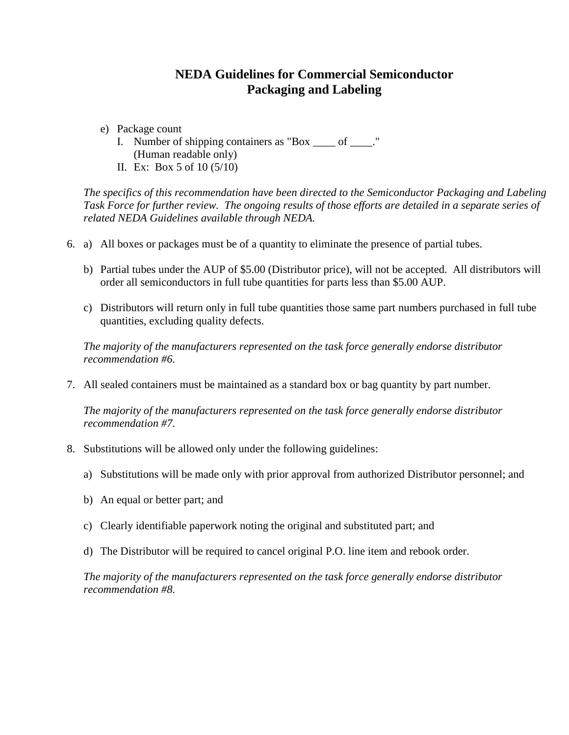- e) Package count
	- I. Number of shipping containers as "Box \_\_\_\_ of \_\_\_\_." (Human readable only)
	- II. Ex: Box 5 of 10 (5/10)

*The specifics of this recommendation have been directed to the Semiconductor Packaging and Labeling Task Force for further review. The ongoing results of those efforts are detailed in a separate series of related NEDA Guidelines available through NEDA.* 

- 6. a) All boxes or packages must be of a quantity to eliminate the presence of partial tubes.
	- b) Partial tubes under the AUP of \$5.00 (Distributor price), will not be accepted. All distributors will order all semiconductors in full tube quantities for parts less than \$5.00 AUP.
	- c) Distributors will return only in full tube quantities those same part numbers purchased in full tube quantities, excluding quality defects.

*The majority of the manufacturers represented on the task force generally endorse distributor recommendation #6.* 

7. All sealed containers must be maintained as a standard box or bag quantity by part number.

*The majority of the manufacturers represented on the task force generally endorse distributor recommendation #7.* 

- 8. Substitutions will be allowed only under the following guidelines:
	- a) Substitutions will be made only with prior approval from authorized Distributor personnel; and
	- b) An equal or better part; and
	- c) Clearly identifiable paperwork noting the original and substituted part; and
	- d) The Distributor will be required to cancel original P.O. line item and rebook order.

*The majority of the manufacturers represented on the task force generally endorse distributor recommendation #8.*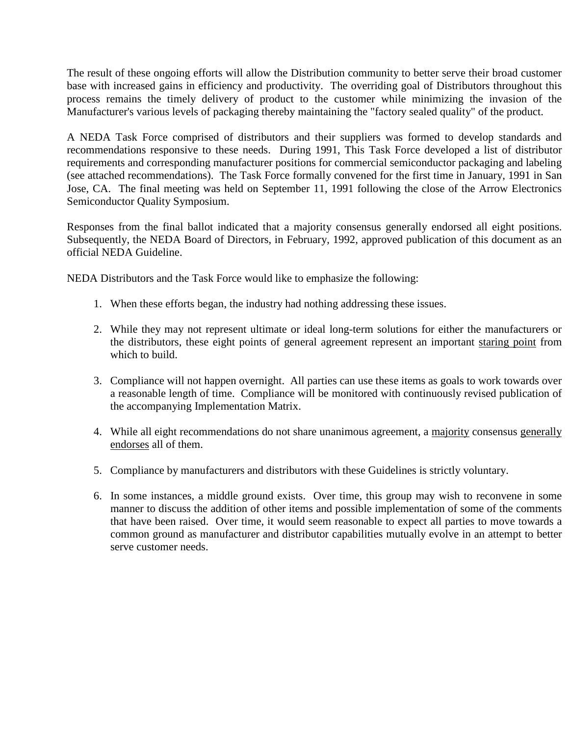The result of these ongoing efforts will allow the Distribution community to better serve their broad customer base with increased gains in efficiency and productivity. The overriding goal of Distributors throughout this process remains the timely delivery of product to the customer while minimizing the invasion of the Manufacturer's various levels of packaging thereby maintaining the "factory sealed quality" of the product.

A NEDA Task Force comprised of distributors and their suppliers was formed to develop standards and recommendations responsive to these needs. During 1991, This Task Force developed a list of distributor requirements and corresponding manufacturer positions for commercial semiconductor packaging and labeling (see attached recommendations). The Task Force formally convened for the first time in January, 1991 in San Jose, CA. The final meeting was held on September 11, 1991 following the close of the Arrow Electronics Semiconductor Quality Symposium.

Responses from the final ballot indicated that a majority consensus generally endorsed all eight positions. Subsequently, the NEDA Board of Directors, in February, 1992, approved publication of this document as an official NEDA Guideline.

NEDA Distributors and the Task Force would like to emphasize the following:

- 1. When these efforts began, the industry had nothing addressing these issues.
- 2. While they may not represent ultimate or ideal long-term solutions for either the manufacturers or the distributors, these eight points of general agreement represent an important staring point from which to build.
- 3. Compliance will not happen overnight. All parties can use these items as goals to work towards over a reasonable length of time. Compliance will be monitored with continuously revised publication of the accompanying Implementation Matrix.
- 4. While all eight recommendations do not share unanimous agreement, a majority consensus generally endorses all of them.
- 5. Compliance by manufacturers and distributors with these Guidelines is strictly voluntary.
- 6. In some instances, a middle ground exists. Over time, this group may wish to reconvene in some manner to discuss the addition of other items and possible implementation of some of the comments that have been raised. Over time, it would seem reasonable to expect all parties to move towards a common ground as manufacturer and distributor capabilities mutually evolve in an attempt to better serve customer needs.